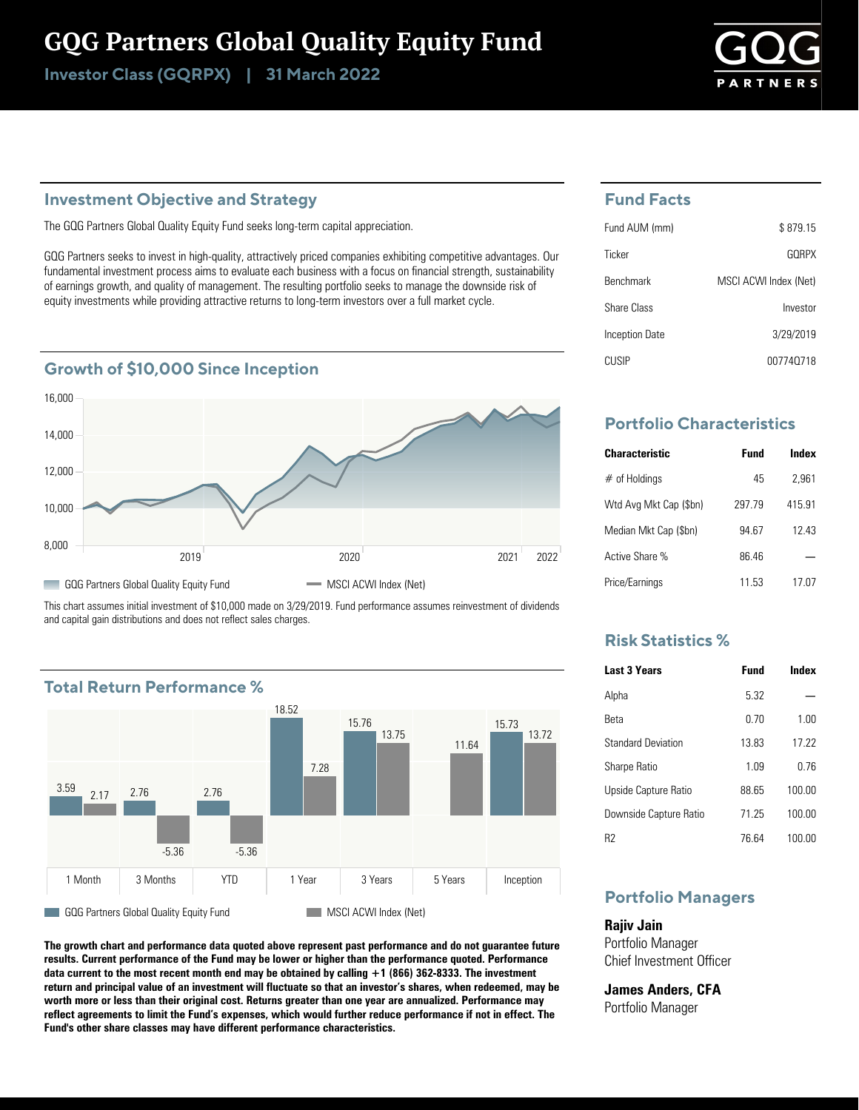# GQG Partners Global Quality Equity Fund

Investor Class (GQRPX) | 31 March 2022



## **Investment Objective and Strategy**

The GQG Partners Global Quality Equity Fund seeks long-term capital appreciation.

GQG Partners seeks to invest in high-quality, attractively priced companies exhibiting competitive advantages. Our fundamental investment process aims to evaluate each business with a focus on financial strength, sustainability of earnings growth, and quality of management. The resulting portfolio seeks to manage the downside risk of equity investments while providing attractive returns to long-term investors over a full market cycle.

## **Growth of \$10,000 Since Inception**



This chart assumes initial investment of \$10,000 made on 3/29/2019. Fund performance assumes reinvestment of dividends and capital gain distributions and does not reflect sales charges.



**The growth chart and performance data quoted above represent past performance and do not guarantee future results. Current performance of the Fund may be lower or higher than the performance quoted. Performance data current to the most recent month end may be obtained by calling +1 (866) 362-8333. The investment return and principal value of an investment will fluctuate so that an investor's shares, when redeemed, may be worth more or less than their original cost. Returns greater than one year are annualized. Performance may reflect agreements to limit the Fund's expenses, which would further reduce performance if not in effect. The Fund's other share classes may have different performance characteristics.**

### **Fund Facts**

| Fund AUM (mm)         | \$879.15              |
|-----------------------|-----------------------|
| Ticker                | GORPX                 |
| <b>Benchmark</b>      | MSCI ACWI Index (Net) |
| Share Class           | Investor              |
| <b>Inception Date</b> | 3/29/2019             |
| CUSIP                 | 007740718             |

## **Portfolio Characteristics**

| <b>Characteristic</b>  | Fund   | Index  |
|------------------------|--------|--------|
| $#$ of Holdings        | 45     | 2.961  |
| Wtd Avg Mkt Cap (\$bn) | 297 79 | 415.91 |
| Median Mkt Cap (\$bn)  | 94.67  | 12 43  |
| Active Share %         | 86 46  |        |
| Price/Earnings         | 11 53  | 17 07  |

## **Risk Statistics %**

| <b>Last 3 Years</b>       | Fund  | Index  |
|---------------------------|-------|--------|
| Alpha                     | 532   |        |
| Reta                      | 0.70  | 1.00   |
| <b>Standard Deviation</b> | 1383  | 17 22  |
| <b>Sharpe Ratio</b>       | 1 0.9 | በ 76   |
| Upside Capture Ratio      | 88 65 | 100.00 |
| Downside Capture Ratio    | 71 25 | 100.00 |
| R2                        | 76 64 | 100.00 |

## **Portfolio Managers**

**Rajiv Jain** Portfolio Manager Chief Investment Officer

**James Anders, CFA** Portfolio Manager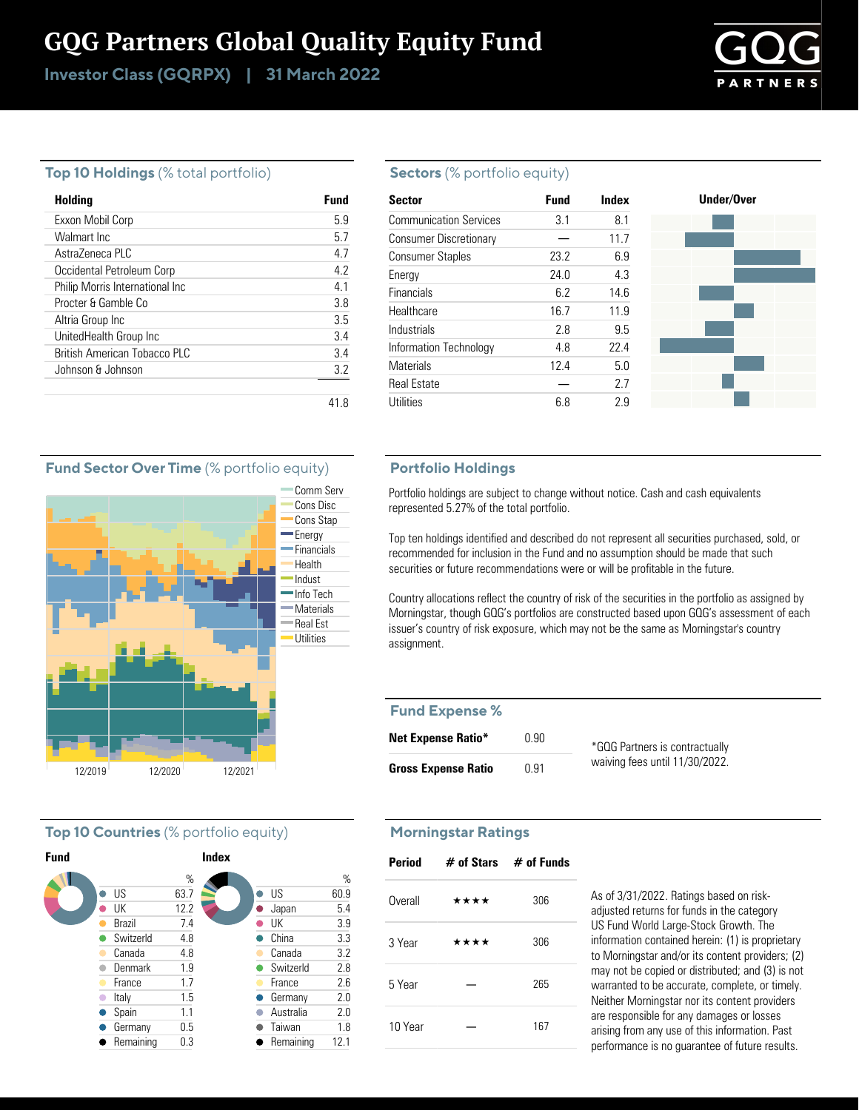# GQG Partners Global Quality Equity Fund

Investor Class (GQRPX) | 31 March 2022



#### **Top 10 Holdings** (% total portfolio)

| Holding                         | Fund |
|---------------------------------|------|
| Exxon Mobil Corp                | 59   |
| Walmart Inc.                    | 57   |
| AstraZeneca PLC                 | 4.7  |
| Occidental Petroleum Corp       | 4.2  |
| Philip Morris International Inc | 41   |
| Procter & Gamble Co.            | 3.8  |
| Altria Group Inc                | 3.5  |
| UnitedHealth Group Inc          | 3.4  |
| British American Tobacco PLC    | 34   |
| Johnson & Johnson               | 3.2  |
|                                 |      |

#### **Sectors** (% portfolio equity)

| <b>Sector</b>                 | <b>Fund</b> | Index | Under/Over |
|-------------------------------|-------------|-------|------------|
| <b>Communication Services</b> | 3.1         | 8.1   |            |
| <b>Consumer Discretionary</b> |             | 11.7  |            |
| <b>Consumer Staples</b>       | 23.2        | 6.9   |            |
| Energy                        | 24.0        | 4.3   |            |
| <b>Financials</b>             | 6.2         | 14.6  |            |
| Healthcare                    | 16.7        | 11.9  |            |
| Industrials                   | 2.8         | 9.5   |            |
| Information Technology        | 4.8         | 22.4  |            |
| <b>Materials</b>              | 12.4        | 5.0   |            |
| <b>Real Estate</b>            |             | 2.7   |            |
| Utilities                     | 6.8         | 2.9   |            |

#### **Portfolio Holdings**

Portfolio holdings are subject to change without notice. Cash and cash equivalents represented 5.27% of the total portfolio.

Top ten holdings identified and described do not represent all securities purchased, sold, or recommended for inclusion in the Fund and no assumption should be made that such securities or future recommendations were or will be profitable in the future.

Country allocations reflect the country of risk of the securities in the portfolio as assigned by Morningstar, though GQG's portfolios are constructed based upon GQG's assessment of each issuer's country of risk exposure, which may not be the same as Morningstar's country assignment.

#### **Fund Expense %**

| <b>Net Expense Ratio*</b>  | 0.90 | *GQG Partners is contractually |
|----------------------------|------|--------------------------------|
| <b>Gross Expense Ratio</b> | 0.91 | waiving fees until 11/30/2022. |

#### **Morningstar Ratings**

| Period  | $\#$ of Stars $\#$ of Funds |     |
|---------|-----------------------------|-----|
| Overall | ****                        | 306 |
| 3 Year  | ****                        | 306 |
| 5 Year  |                             | 265 |
| 10 Year |                             | 167 |

As of 3/31/2022. Ratings based on riskadjusted returns for funds in the category US Fund World Large-Stock Growth. The information contained herein: (1) is proprietary to Morningstar and/or its content providers; (2) may not be copied or distributed; and (3) is not warranted to be accurate, complete, or timely. Neither Morningstar nor its content providers are responsible for any damages or losses arising from any use of this information. Past performance is no guarantee of future results.

#### **Fund Sector Over Time** (% portfolio equity)



#### **Top 10 Countries** (% portfolio equity)